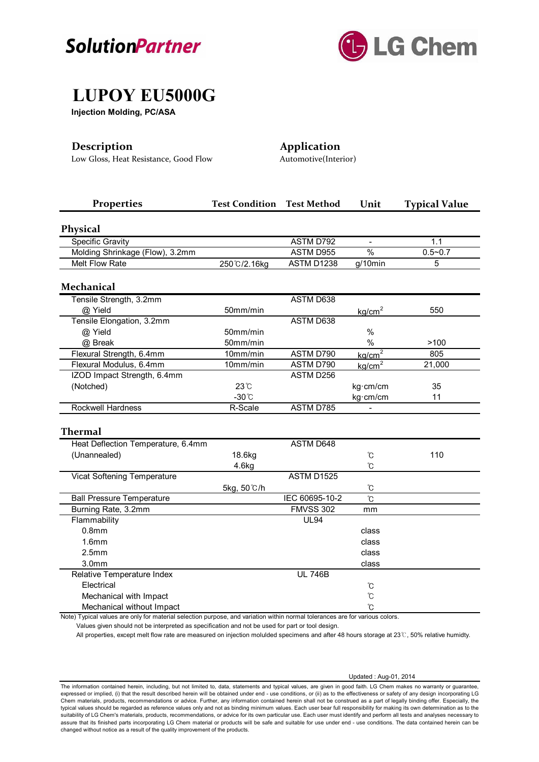



# **LUPOY EU5000G**

**Injection Molding, PC/ASA**

Low Gloss, Heat Resistance, Good Flow Automotive(Interior)

**Description Application**

| <b>Properties</b>                                                                                                            | <b>Test Condition</b> | <b>Test Method</b> | Unit                  | <b>Typical Value</b> |
|------------------------------------------------------------------------------------------------------------------------------|-----------------------|--------------------|-----------------------|----------------------|
| <b>Physical</b>                                                                                                              |                       |                    |                       |                      |
| <b>Specific Gravity</b>                                                                                                      |                       | <b>ASTM D792</b>   |                       | 1.1                  |
| Molding Shrinkage (Flow), 3.2mm                                                                                              |                       | ASTM D955          | $\frac{0}{0}$         | $0.5 - 0.7$          |
| Melt Flow Rate                                                                                                               | 250 °C/2.16kg         | ASTM D1238         | $\overline{g}/10$ min | 5                    |
| <b>Mechanical</b>                                                                                                            |                       |                    |                       |                      |
| Tensile Strength, 3.2mm                                                                                                      |                       | <b>ASTM D638</b>   |                       |                      |
| @ Yield                                                                                                                      | 50mm/min              |                    | kq/cm <sup>2</sup>    | 550                  |
| Tensile Elongation, 3.2mm                                                                                                    |                       | ASTM D638          |                       |                      |
| @ Yield                                                                                                                      | 50mm/min              |                    | $\%$                  |                      |
| @ Break                                                                                                                      | 50mm/min              |                    | $\%$                  | >100                 |
| Flexural Strength, 6.4mm                                                                                                     | 10mm/min              | ASTM D790          | kq/cm <sup>2</sup>    | 805                  |
| Flexural Modulus, 6.4mm                                                                                                      | 10mm/min              | ASTM D790          | kg/cm <sup>2</sup>    | 21,000               |
| IZOD Impact Strength, 6.4mm                                                                                                  |                       | ASTM D256          |                       |                      |
| (Notched)                                                                                                                    | 23°C                  |                    | kg·cm/cm              | 35                   |
|                                                                                                                              | $-30^{\circ}$ C       |                    | kg·cm/cm              | 11                   |
| <b>Rockwell Hardness</b>                                                                                                     | R-Scale               | <b>ASTM D785</b>   |                       |                      |
| <b>Thermal</b>                                                                                                               |                       |                    |                       |                      |
| Heat Deflection Temperature, 6.4mm                                                                                           |                       | <b>ASTM D648</b>   |                       |                      |
| (Unannealed)                                                                                                                 | 18.6kg                |                    | ົໂ                    | 110                  |
|                                                                                                                              | 4.6kg                 |                    | °C                    |                      |
| Vicat Softening Temperature                                                                                                  |                       | <b>ASTM D1525</b>  |                       |                      |
|                                                                                                                              | 5kg, 50 ℃/h           |                    | °C                    |                      |
| <b>Ball Pressure Temperature</b>                                                                                             |                       | IEC 60695-10-2     | °C                    |                      |
| Burning Rate, 3.2mm                                                                                                          |                       | <b>FMVSS 302</b>   | mm                    |                      |
| Flammability                                                                                                                 |                       | <b>UL94</b>        |                       |                      |
| 0.8 <sub>mm</sub>                                                                                                            |                       |                    | class                 |                      |
| 1.6 <sub>mm</sub>                                                                                                            |                       |                    | class                 |                      |
| 2.5mm                                                                                                                        |                       |                    | class                 |                      |
| 3.0 <sub>mm</sub>                                                                                                            |                       |                    | class                 |                      |
| Relative Temperature Index                                                                                                   |                       | <b>UL 746B</b>     |                       |                      |
| Electrical                                                                                                                   |                       |                    | ℃                     |                      |
| Mechanical with Impact                                                                                                       |                       |                    | Ĉ                     |                      |
| Mechanical without Impact                                                                                                    |                       |                    | ົໂ                    |                      |
| Note) Typical values are only for material selection purpose, and variation within normal tolerances are for various colors. |                       |                    |                       |                      |

Values given should not be interpreted as specification and not be used for part or tool design.

All properties, except melt flow rate are measured on injection molulded specimens and after 48 hours storage at 23℃, 50% relative humidty.

Updated : Aug-01, 2014

The information contained herein, including, but not limited to, data, statements and typical values, are given in good faith. LG Chem makes no warranty or guarantee, expressed or implied, (i) that the result described herein will be obtained under end - use conditions, or (ii) as to the effectiveness or safety of any design incorporating LG Chem materials, products, recommendations or advice. Further, any information contained herein shall not be construed as a part of legally binding offer. Especially, the typical values should be regarded as reference values only and not as binding minimum values. Each user bear full responsibility for making its own determination as to the suitability of LG Chem's materials, products, recommendations, or advice for its own particular use. Each user must identify and perform all tests and analyses necessary to assure that its finished parts incorporating LG Chem material or products will be safe and suitable for use under end - use conditions. The data contained herein can be<br>changed without notice as a result of the quality imp